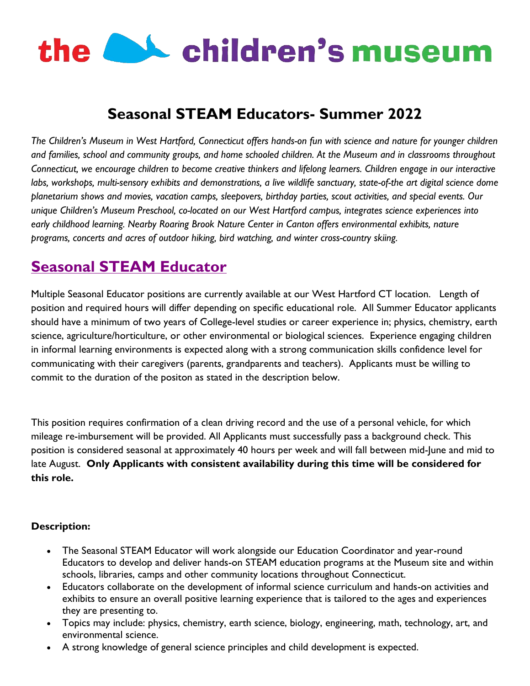# the **CAL** children's museum

## **Seasonal STEAM Educators- Summer 2022**

*The Children's Museum in West Hartford, Connecticut offers hands-on fun with science and nature for younger children and families, school and community groups, and home schooled children. At the Museum and in classrooms throughout Connecticut, we encourage children to become creative thinkers and lifelong learners. Children engage in our interactive labs, workshops, multi-sensory exhibits and demonstrations, a live wildlife sanctuary, state-of-the art digital science dome planetarium shows and movies, vacation camps, sleepovers, birthday parties, scout activities, and special events. Our unique Children's Museum Preschool, co-located on our West Hartford campus, integrates science experiences into*  early childhood learning. Nearby Roaring Brook Nature Center in Canton offers environmental exhibits, nature *programs, concerts and acres of outdoor hiking, bird watching, and winter cross-country skiing.*

### **Seasonal STEAM Educator**

Multiple Seasonal Educator positions are currently available at our West Hartford CT location. Length of position and required hours will differ depending on specific educational role. All Summer Educator applicants should have a minimum of two years of College-level studies or career experience in; physics, chemistry, earth science, agriculture/horticulture, or other environmental or biological sciences. Experience engaging children in informal learning environments is expected along with a strong communication skills confidence level for communicating with their caregivers (parents, grandparents and teachers). Applicants must be willing to commit to the duration of the positon as stated in the description below.

This position requires confirmation of a clean driving record and the use of a personal vehicle, for which mileage re-imbursement will be provided. All Applicants must successfully pass a background check. This position is considered seasonal at approximately 40 hours per week and will fall between mid-June and mid to late August. **Only Applicants with consistent availability during this time will be considered for this role.**

#### **Description:**

- The Seasonal STEAM Educator will work alongside our Education Coordinator and year-round Educators to develop and deliver hands-on STEAM education programs at the Museum site and within schools, libraries, camps and other community locations throughout Connecticut.
- Educators collaborate on the development of informal science curriculum and hands-on activities and exhibits to ensure an overall positive learning experience that is tailored to the ages and experiences they are presenting to.
- Topics may include: physics, chemistry, earth science, biology, engineering, math, technology, art, and environmental science.
- A strong knowledge of general science principles and child development is expected.